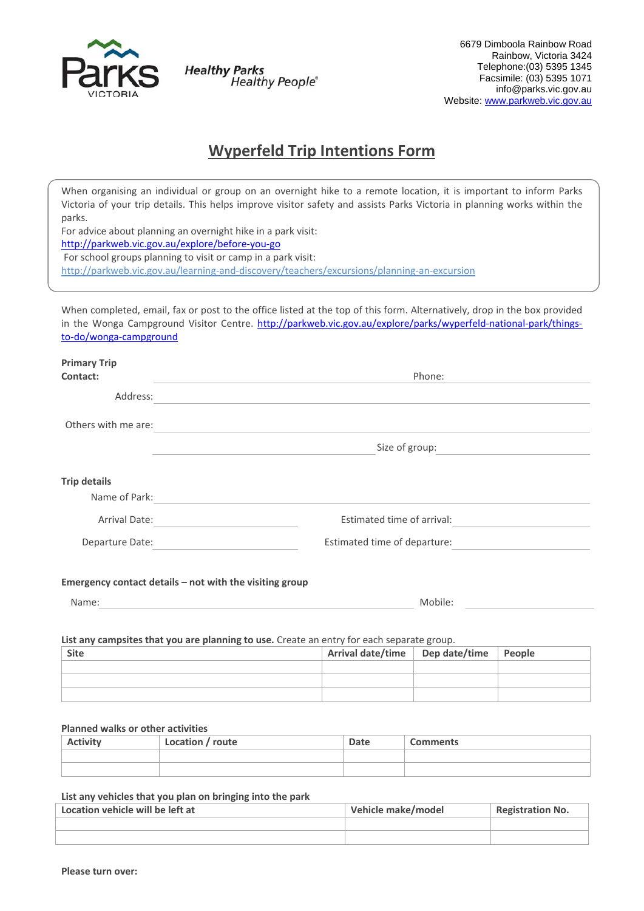

**Healthy Parks Healthy People®** 

# **Wyperfeld Trip Intentions Form**

When organising an individual or group on an overnight hike to a remote location, it is important to inform Parks Victoria of your trip details. This helps improve visitor safety and assists Parks Victoria in planning works within the parks.

For advice about planning an overnight hike in a park visit:

http://parkweb.vic.gov.au/explore/before‐you‐go

For school groups planning to visit or camp in a park visit:

http://parkweb.vic.gov.au/learning‐and‐discovery/teachers/excursions/planning‐an‐excursion

When completed, email, fax or post to the office listed at the top of this form. Alternatively, drop in the box provided in the Wonga Campground Visitor Centre. http://parkweb.vic.gov.au/explore/parks/wyperfeld-national-park/thingsto‐do/wonga‐campground

| <b>Primary Trip</b>                                     |                                                                                                                      |  |  |  |  |
|---------------------------------------------------------|----------------------------------------------------------------------------------------------------------------------|--|--|--|--|
| Contact:                                                | Phone:                                                                                                               |  |  |  |  |
| Address:                                                | <u> 1980 - Johann Stein, marwolaethau a bhann an t-Amhair ann an t-Amhair an t-Amhair an t-Amhair an t-Amhair an</u> |  |  |  |  |
| Others with me are:                                     | <u> 1989 - Johann Stein, mars an deus an deus Amerikaansk kommunister (</u>                                          |  |  |  |  |
|                                                         | Size of group:                                                                                                       |  |  |  |  |
| <b>Trip details</b>                                     |                                                                                                                      |  |  |  |  |
| Name of Park:                                           | <u> 1989 - John Stein, Amerikaansk politiker (</u>                                                                   |  |  |  |  |
| Arrival Date: <u>_____________________</u>              | Estimated time of arrival:<br><u> 1989 - Jan Barnett, franc</u>                                                      |  |  |  |  |
| Departure Date: <u>_________________________</u>        | Estimated time of departure:                                                                                         |  |  |  |  |
| Emergency contact details - not with the visiting group |                                                                                                                      |  |  |  |  |
| Name:                                                   | Mobile:                                                                                                              |  |  |  |  |
|                                                         |                                                                                                                      |  |  |  |  |

# **List any campsites that you are planning to use.** Create an entry for each separate group.

| <b>Site</b> | Arrival date/time   Dep date/time   People |  |
|-------------|--------------------------------------------|--|
|             |                                            |  |
|             |                                            |  |
|             |                                            |  |

# **Planned walks or other activities**

| <b>Activity</b> | Location / route | Date | <b>Comments</b> |
|-----------------|------------------|------|-----------------|
|                 |                  |      |                 |
|                 |                  |      |                 |

#### **List any vehicles that you plan on bringing into the park**

| Location vehicle will be left at | Vehicle make/model | <b>Registration No.</b> |
|----------------------------------|--------------------|-------------------------|
|                                  |                    |                         |
|                                  |                    |                         |